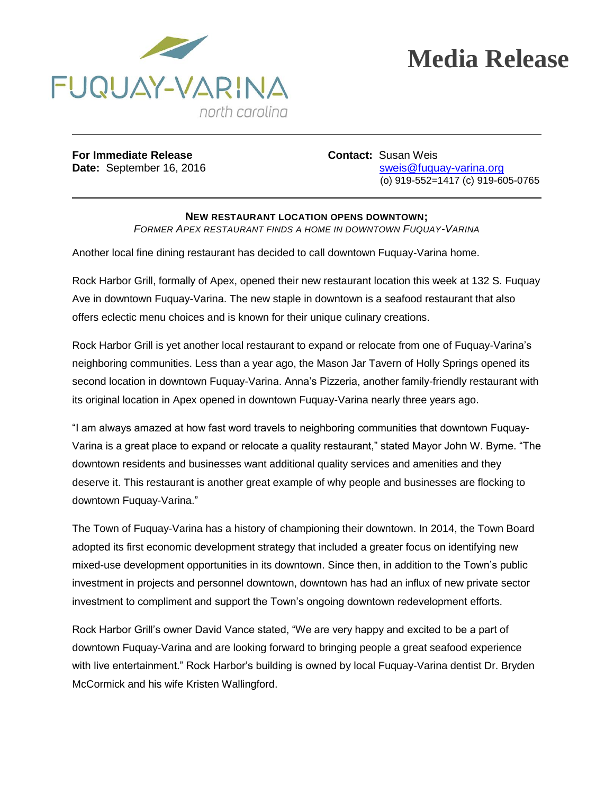

## **Media Release**

**For Immediate Release Contact:** Susan Weis

**Date:** September 16, 2016 sweis@fuquay-varina.org (o) 919-552=1417 (c) 919-605-0765

## **NEW RESTAURANT LOCATION OPENS DOWNTOWN;**

*FORMER APEX RESTAURANT FINDS A HOME IN DOWNTOWN FUQUAY-VARINA*

Another local fine dining restaurant has decided to call downtown Fuquay-Varina home.

Rock Harbor Grill, formally of Apex, opened their new restaurant location this week at 132 S. Fuquay Ave in downtown Fuquay-Varina. The new staple in downtown is a seafood restaurant that also offers eclectic menu choices and is known for their unique culinary creations.

Rock Harbor Grill is yet another local restaurant to expand or relocate from one of Fuquay-Varina's neighboring communities. Less than a year ago, the Mason Jar Tavern of Holly Springs opened its second location in downtown Fuquay-Varina. Anna's Pizzeria, another family-friendly restaurant with its original location in Apex opened in downtown Fuquay-Varina nearly three years ago.

"I am always amazed at how fast word travels to neighboring communities that downtown Fuquay-Varina is a great place to expand or relocate a quality restaurant," stated Mayor John W. Byrne. "The downtown residents and businesses want additional quality services and amenities and they deserve it. This restaurant is another great example of why people and businesses are flocking to downtown Fuquay-Varina."

The Town of Fuquay-Varina has a history of championing their downtown. In 2014, the Town Board adopted its first economic development strategy that included a greater focus on identifying new mixed-use development opportunities in its downtown. Since then, in addition to the Town's public investment in projects and personnel downtown, downtown has had an influx of new private sector investment to compliment and support the Town's ongoing downtown redevelopment efforts.

Rock Harbor Grill's owner David Vance stated, "We are very happy and excited to be a part of downtown Fuquay-Varina and are looking forward to bringing people a great seafood experience with live entertainment." Rock Harbor's building is owned by local Fuquay-Varina dentist Dr. Bryden McCormick and his wife Kristen Wallingford.